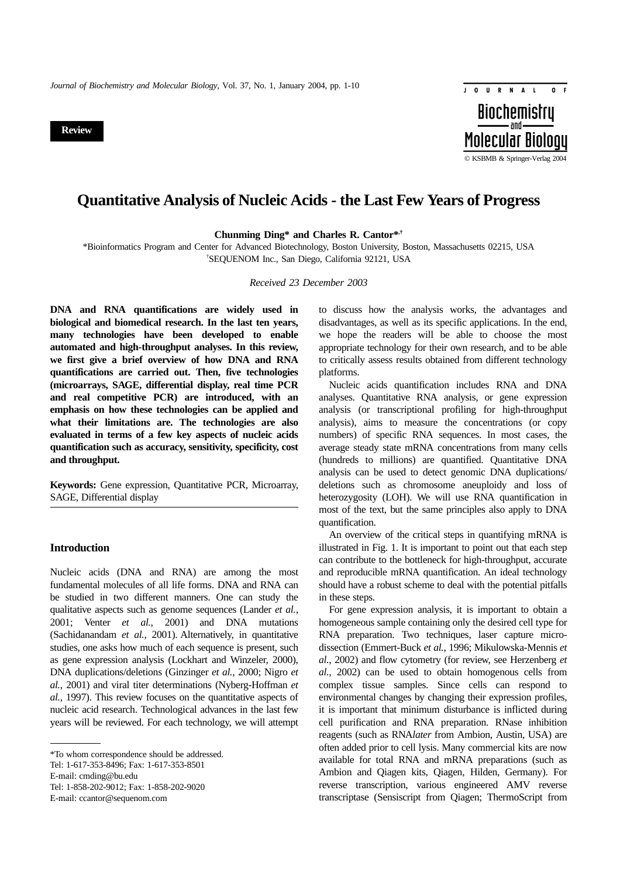**Review**



# **Quantitative Analysis of Nucleic Acids - the Last Few Years of Progress**

**Chunming Ding\* and Charles R. Cantor\*,†**

\*Bioinformatics Program and Center for Advanced Biotechnology, Boston University, Boston, Massachusetts 02215, USA † SEQUENOM Inc., San Diego, California 92121, USA

*Received 23 December 2003*

**DNA and RNA quantifications are widely used in biological and biomedical research. In the last ten years, many technologies have been developed to enable automated and high-throughput analyses. In this review, we first give a brief overview of how DNA and RNA quantifications are carried out. Then, five technologies (microarrays, SAGE, differential display, real time PCR and real competitive PCR) are introduced, with an emphasis on how these technologies can be applied and what their limitations are. The technologies are also evaluated in terms of a few key aspects of nucleic acids quantification such as accuracy, sensitivity, specificity, cost and throughput.**

**Keywords:** Gene expression, Quantitative PCR, Microarray, SAGE, Differential display

### **Introduction**

Nucleic acids (DNA and RNA) are among the most fundamental molecules of all life forms. DNA and RNA can be studied in two different manners. One can study the qualitative aspects such as genome sequences (Lander *et al.*, 2001; Venter *et al.*, 2001) and DNA mutations (Sachidanandam *et al.*, 2001). Alternatively, in quantitative studies, one asks how much of each sequence is present, such as gene expression analysis (Lockhart and Winzeler, 2000), DNA duplications/deletions (Ginzinger *et al.*, 2000; Nigro *et al.*, 2001) and viral titer determinations (Nyberg-Hoffman *et al.*, 1997). This review focuses on the quantitative aspects of nucleic acid research. Technological advances in the last few years will be reviewed. For each technology, we will attempt

Tel: 1-617-353-8496; Fax: 1-617-353-8501

Tel: 1-858-202-9012; Fax: 1-858-202-9020

E-mail: ccantor@sequenom.com

to discuss how the analysis works, the advantages and disadvantages, as well as its specific applications. In the end, we hope the readers will be able to choose the most appropriate technology for their own research, and to be able to critically assess results obtained from different technology platforms.

Nucleic acids quantification includes RNA and DNA analyses. Quantitative RNA analysis, or gene expression analysis (or transcriptional profiling for high-throughput analysis), aims to measure the concentrations (or copy numbers) of specific RNA sequences. In most cases, the average steady state mRNA concentrations from many cells (hundreds to millions) are quantified. Quantitative DNA analysis can be used to detect genomic DNA duplications/ deletions such as chromosome aneuploidy and loss of heterozygosity (LOH). We will use RNA quantification in most of the text, but the same principles also apply to DNA quantification.

An overview of the critical steps in quantifying mRNA is illustrated in Fig. 1. It is important to point out that each step can contribute to the bottleneck for high-throughput, accurate and reproducible mRNA quantification. An ideal technology should have a robust scheme to deal with the potential pitfalls in these steps.

For gene expression analysis, it is important to obtain a homogeneous sample containing only the desired cell type for RNA preparation. Two techniques, laser capture microdissection (Emmert-Buck *et al.*, 1996; Mikulowska-Mennis *et al.*, 2002) and flow cytometry (for review, see Herzenberg *et al.*, 2002) can be used to obtain homogenous cells from complex tissue samples. Since cells can respond to environmental changes by changing their expression profiles, it is important that minimum disturbance is inflicted during cell purification and RNA preparation. RNase inhibition reagents (such as RNA*later* from Ambion, Austin, USA) are often added prior to cell lysis. Many commercial kits are now available for total RNA and mRNA preparations (such as Ambion and Qiagen kits, Qiagen, Hilden, Germany). For reverse transcription, various engineered AMV reverse transcriptase (Sensiscript from Qiagen; ThermoScript from

<sup>\*</sup>To whom correspondence should be addressed.

E-mail: cmding@bu.edu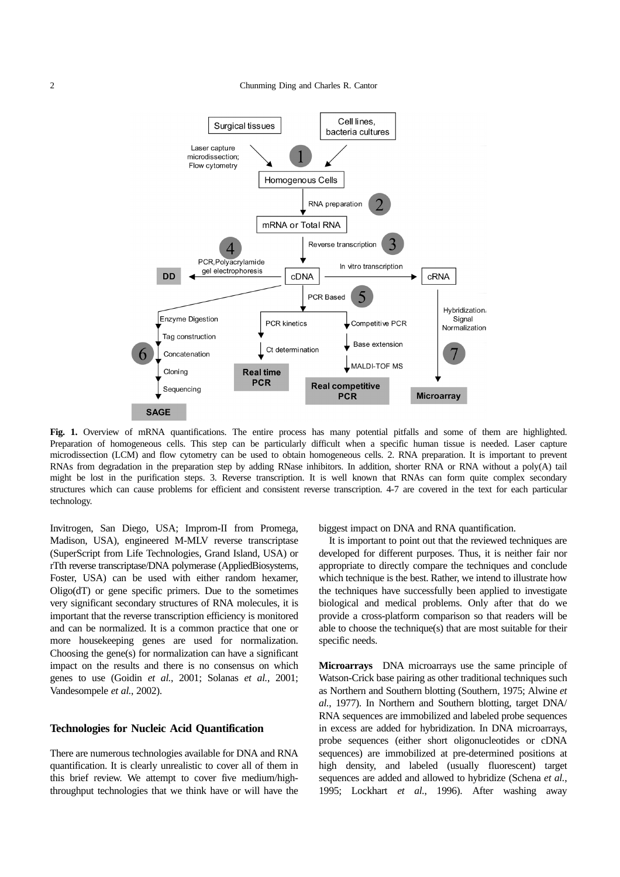

Fig. 1. Overview of mRNA quantifications. The entire process has many potential pitfalls and some of them are highlighted. Preparation of homogeneous cells. This step can be particularly difficult when a specific human tissue is needed. Laser capture microdissection (LCM) and flow cytometry can be used to obtain homogeneous cells. 2. RNA preparation. It is important to prevent RNAs from degradation in the preparation step by adding RNase inhibitors. In addition, shorter RNA or RNA without a poly(A) tail might be lost in the purification steps. 3. Reverse transcription. It is well known that RNAs can form quite complex secondary structures which can cause problems for efficient and consistent reverse transcription. 4-7 are covered in the text for each particular technology.

Invitrogen, San Diego, USA; Improm-II from Promega, Madison, USA), engineered M-MLV reverse transcriptase (SuperScript from Life Technologies, Grand Island, USA) or rTth reverse transcriptase/DNA polymerase (AppliedBiosystems, Foster, USA) can be used with either random hexamer,  $Oligo(dT)$  or gene specific primers. Due to the sometimes very significant secondary structures of RNA molecules, it is important that the reverse transcription efficiency is monitored and can be normalized. It is a common practice that one or more housekeeping genes are used for normalization. Choosing the gene(s) for normalization can have a significant impact on the results and there is no consensus on which genes to use (Goidin *et al.*, 2001; Solanas *et al.*, 2001; Vandesompele *et al.*, 2002).

### **Technologies for Nucleic Acid Quantification**

There are numerous technologies available for DNA and RNA quantification. It is clearly unrealistic to cover all of them in this brief review. We attempt to cover five medium/highthroughput technologies that we think have or will have the biggest impact on DNA and RNA quantification.

It is important to point out that the reviewed techniques are developed for different purposes. Thus, it is neither fair nor appropriate to directly compare the techniques and conclude which technique is the best. Rather, we intend to illustrate how the techniques have successfully been applied to investigate biological and medical problems. Only after that do we provide a cross-platform comparison so that readers will be able to choose the technique(s) that are most suitable for their specific needs.

**Microarrays** DNA microarrays use the same principle of Watson-Crick base pairing as other traditional techniques such as Northern and Southern blotting (Southern, 1975; Alwine *et al.*, 1977). In Northern and Southern blotting, target DNA/ RNA sequences are immobilized and labeled probe sequences in excess are added for hybridization. In DNA microarrays, probe sequences (either short oligonucleotides or cDNA sequences) are immobilized at pre-determined positions at high density, and labeled (usually fluorescent) target sequences are added and allowed to hybridize (Schena *et al.*, 1995; Lockhart *et al.*, 1996). After washing away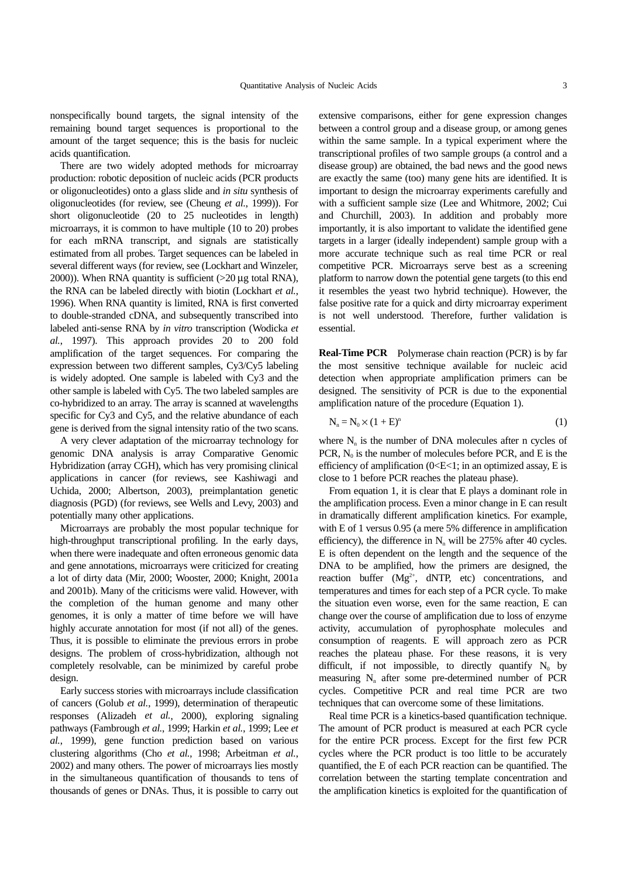nonspecifically bound targets, the signal intensity of the remaining bound target sequences is proportional to the amount of the target sequence; this is the basis for nucleic acids quantification.

There are two widely adopted methods for microarray production: robotic deposition of nucleic acids (PCR products or oligonucleotides) onto a glass slide and *in situ* synthesis of oligonucleotides (for review, see (Cheung *et al.*, 1999)). For short oligonucleotide (20 to 25 nucleotides in length) microarrays, it is common to have multiple (10 to 20) probes for each mRNA transcript, and signals are statistically estimated from all probes. Target sequences can be labeled in several different ways (for review, see (Lockhart and Winzeler, 2000)). When RNA quantity is sufficient  $(>20 \mu g)$  total RNA), the RNA can be labeled directly with biotin (Lockhart *et al.*, 1996). When RNA quantity is limited, RNA is first converted to double-stranded cDNA, and subsequently transcribed into labeled anti-sense RNA by *in vitro* transcription (Wodicka *et al.*, 1997). This approach provides 20 to 200 fold amplification of the target sequences. For comparing the expression between two different samples, Cy3/Cy5 labeling is widely adopted. One sample is labeled with Cy3 and the other sample is labeled with Cy5. The two labeled samples are co-hybridized to an array. The array is scanned at wavelengths specific for Cy3 and Cy5, and the relative abundance of each gene is derived from the signal intensity ratio of the two scans.

A very clever adaptation of the microarray technology for genomic DNA analysis is array Comparative Genomic Hybridization (array CGH), which has very promising clinical applications in cancer (for reviews, see Kashiwagi and Uchida, 2000; Albertson, 2003), preimplantation genetic diagnosis (PGD) (for reviews, see Wells and Levy, 2003) and potentially many other applications.

Microarrays are probably the most popular technique for high-throughput transcriptional profiling. In the early days, when there were inadequate and often erroneous genomic data and gene annotations, microarrays were criticized for creating a lot of dirty data (Mir, 2000; Wooster, 2000; Knight, 2001a and 2001b). Many of the criticisms were valid. However, with the completion of the human genome and many other genomes, it is only a matter of time before we will have highly accurate annotation for most (if not all) of the genes. Thus, it is possible to eliminate the previous errors in probe designs. The problem of cross-hybridization, although not completely resolvable, can be minimized by careful probe design.

Early success stories with microarrays include classification of cancers (Golub *et al.*, 1999), determination of therapeutic responses (Alizadeh *et al.*, 2000), exploring signaling pathways (Fambrough *et al.*, 1999; Harkin *et al.*, 1999; Lee *et al.*, 1999), gene function prediction based on various clustering algorithms (Cho *et al.*, 1998; Arbeitman *et al.*, 2002) and many others. The power of microarrays lies mostly in the simultaneous quantification of thousands to tens of thousands of genes or DNAs. Thus, it is possible to carry out extensive comparisons, either for gene expression changes between a control group and a disease group, or among genes within the same sample. In a typical experiment where the transcriptional profiles of two sample groups (a control and a disease group) are obtained, the bad news and the good news are exactly the same (too) many gene hits are identified. It is important to design the microarray experiments carefully and with a sufficient sample size (Lee and Whitmore, 2002; Cui and Churchill, 2003). In addition and probably more importantly, it is also important to validate the identified gene targets in a larger (ideally independent) sample group with a more accurate technique such as real time PCR or real competitive PCR. Microarrays serve best as a screening platform to narrow down the potential gene targets (to this end it resembles the yeast two hybrid technique). However, the false positive rate for a quick and dirty microarray experiment is not well understood. Therefore, further validation is essential.

**Real-Time PCR** Polymerase chain reaction (PCR) is by far the most sensitive technique available for nucleic acid detection when appropriate amplification primers can be designed. The sensitivity of PCR is due to the exponential amplification nature of the procedure (Equation 1).

$$
N_n = N_0 \times (1 + E)^n \tag{1}
$$

where  $N_n$  is the number of DNA molecules after n cycles of PCR,  $N_0$  is the number of molecules before PCR, and E is the efficiency of amplification ( $0 < E < 1$ ; in an optimized assay, E is close to 1 before PCR reaches the plateau phase).

From equation 1, it is clear that E plays a dominant role in the amplification process. Even a minor change in E can result in dramatically different amplification kinetics. For example, with E of 1 versus 0.95 (a mere 5% difference in amplification efficiency), the difference in  $N_n$  will be 275% after 40 cycles. E is often dependent on the length and the sequence of the DNA to be amplified, how the primers are designed, the reaction buffer (Mg<sup>2+</sup>, dNTP, etc) concentrations, and temperatures and times for each step of a PCR cycle. To make the situation even worse, even for the same reaction, E can change over the course of amplification due to loss of enzyme activity, accumulation of pyrophosphate molecules and consumption of reagents. E will approach zero as PCR reaches the plateau phase. For these reasons, it is very difficult, if not impossible, to directly quantify  $N_0$  by measuring  $N_n$  after some pre-determined number of PCR cycles. Competitive PCR and real time PCR are two techniques that can overcome some of these limitations.

Real time PCR is a kinetics-based quantification technique. The amount of PCR product is measured at each PCR cycle for the entire PCR process. Except for the first few PCR cycles where the PCR product is too little to be accurately quantified, the E of each PCR reaction can be quantified. The correlation between the starting template concentration and the amplification kinetics is exploited for the quantification of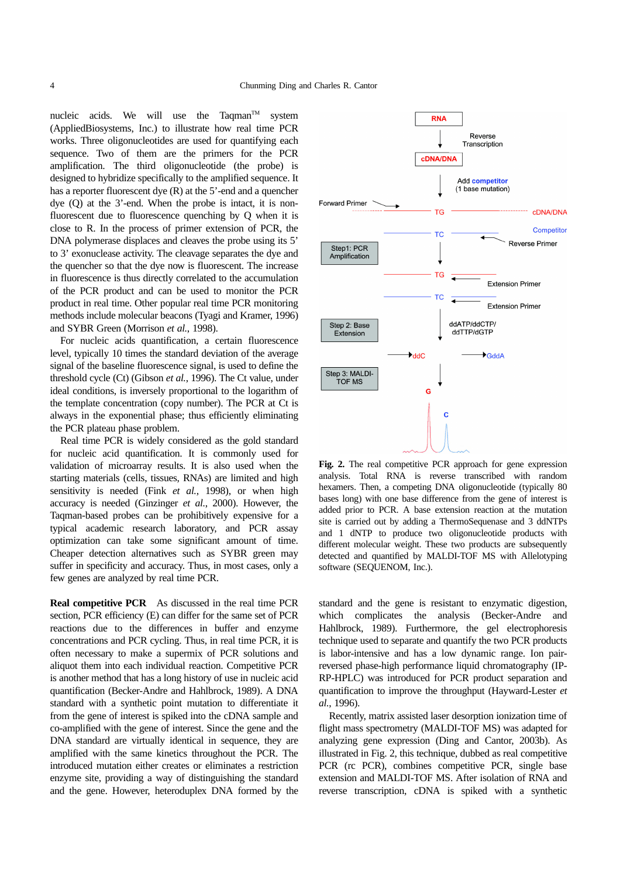nucleic acids. We will use the Taqman<sup>TM</sup> system (AppliedBiosystems, Inc.) to illustrate how real time PCR works. Three oligonucleotides are used for quantifying each sequence. Two of them are the primers for the PCR amplification. The third oligonucleotide (the probe) is designed to hybridize specifically to the amplified sequence. It has a reporter fluorescent dye (R) at the 5'-end and a quencher dye (Q) at the 3'-end. When the probe is intact, it is nonfluorescent due to fluorescence quenching by Q when it is close to R. In the process of primer extension of PCR, the DNA polymerase displaces and cleaves the probe using its 5' to 3' exonuclease activity. The cleavage separates the dye and the quencher so that the dye now is fluorescent. The increase in fluorescence is thus directly correlated to the accumulation of the PCR product and can be used to monitor the PCR product in real time. Other popular real time PCR monitoring methods include molecular beacons (Tyagi and Kramer, 1996) and SYBR Green (Morrison *et al.*, 1998).

For nucleic acids quantification, a certain fluorescence level, typically 10 times the standard deviation of the average signal of the baseline fluorescence signal, is used to define the threshold cycle (Ct) (Gibson *et al.*, 1996). The Ct value, under ideal conditions, is inversely proportional to the logarithm of the template concentration (copy number). The PCR at Ct is always in the exponential phase; thus efficiently eliminating the PCR plateau phase problem.

Real time PCR is widely considered as the gold standard for nucleic acid quantification. It is commonly used for validation of microarray results. It is also used when the starting materials (cells, tissues, RNAs) are limited and high sensitivity is needed (Fink *et al.*, 1998), or when high accuracy is needed (Ginzinger *et al.*, 2000). However, the Taqman-based probes can be prohibitively expensive for a typical academic research laboratory, and PCR assay optimization can take some significant amount of time. Cheaper detection alternatives such as SYBR green may suffer in specificity and accuracy. Thus, in most cases, only a few genes are analyzed by real time PCR.

**Real competitive PCR** As discussed in the real time PCR section, PCR efficiency (E) can differ for the same set of PCR reactions due to the differences in buffer and enzyme concentrations and PCR cycling. Thus, in real time PCR, it is often necessary to make a supermix of PCR solutions and aliquot them into each individual reaction. Competitive PCR is another method that has a long history of use in nucleic acid quantification (Becker-Andre and Hahlbrock, 1989). A DNA standard with a synthetic point mutation to differentiate it from the gene of interest is spiked into the cDNA sample and co-amplified with the gene of interest. Since the gene and the DNA standard are virtually identical in sequence, they are amplified with the same kinetics throughout the PCR. The introduced mutation either creates or eliminates a restriction enzyme site, providing a way of distinguishing the standard and the gene. However, heteroduplex DNA formed by the



**Fig. 2.** The real competitive PCR approach for gene expression analysis. Total RNA is reverse transcribed with random hexamers. Then, a competing DNA oligonucleotide (typically 80 bases long) with one base difference from the gene of interest is added prior to PCR. A base extension reaction at the mutation site is carried out by adding a ThermoSequenase and 3 ddNTPs and 1 dNTP to produce two oligonucleotide products with different molecular weight. These two products are subsequently detected and quantified by MALDI-TOF MS with Allelotyping software (SEQUENOM, Inc.).

standard and the gene is resistant to enzymatic digestion, which complicates the analysis (Becker-Andre and Hahlbrock, 1989). Furthermore, the gel electrophoresis technique used to separate and quantify the two PCR products is labor-intensive and has a low dynamic range. Ion pairreversed phase-high performance liquid chromatography (IP-RP-HPLC) was introduced for PCR product separation and quantification to improve the throughput (Hayward-Lester *et al.*, 1996).

Recently, matrix assisted laser desorption ionization time of flight mass spectrometry (MALDI-TOF MS) was adapted for analyzing gene expression (Ding and Cantor, 2003b). As illustrated in Fig. 2, this technique, dubbed as real competitive PCR (rc PCR), combines competitive PCR, single base extension and MALDI-TOF MS. After isolation of RNA and reverse transcription, cDNA is spiked with a synthetic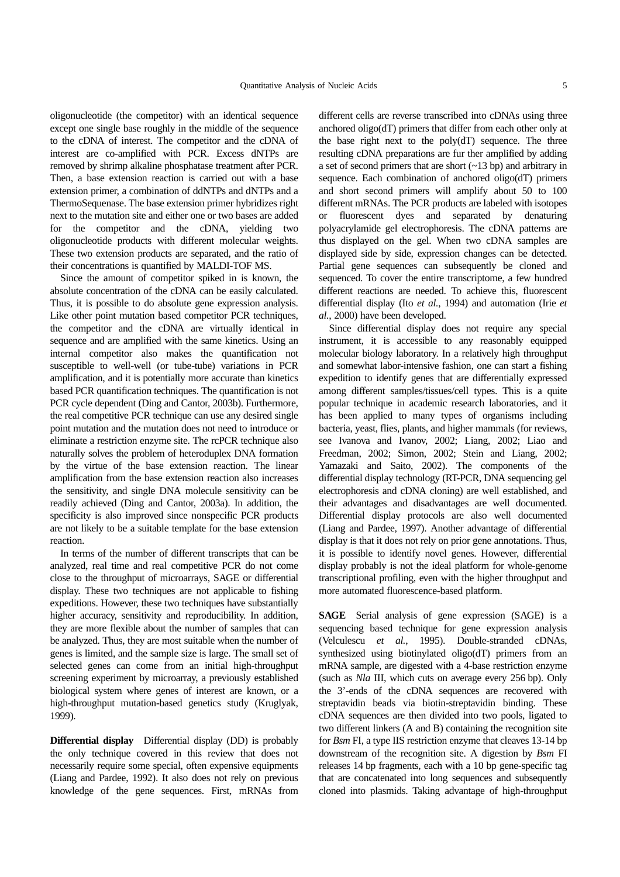oligonucleotide (the competitor) with an identical sequence except one single base roughly in the middle of the sequence to the cDNA of interest. The competitor and the cDNA of interest are co-amplified with PCR. Excess dNTPs are removed by shrimp alkaline phosphatase treatment after PCR. Then, a base extension reaction is carried out with a base extension primer, a combination of ddNTPs and dNTPs and a ThermoSequenase. The base extension primer hybridizes right next to the mutation site and either one or two bases are added for the competitor and the cDNA, yielding two oligonucleotide products with different molecular weights. These two extension products are separated, and the ratio of their concentrations is quantified by MALDI-TOF MS.

Since the amount of competitor spiked in is known, the absolute concentration of the cDNA can be easily calculated. Thus, it is possible to do absolute gene expression analysis. Like other point mutation based competitor PCR techniques, the competitor and the cDNA are virtually identical in sequence and are amplified with the same kinetics. Using an internal competitor also makes the quantification not susceptible to well-well (or tube-tube) variations in PCR amplification, and it is potentially more accurate than kinetics based PCR quantification techniques. The quantification is not PCR cycle dependent (Ding and Cantor, 2003b). Furthermore, the real competitive PCR technique can use any desired single point mutation and the mutation does not need to introduce or eliminate a restriction enzyme site. The rcPCR technique also naturally solves the problem of heteroduplex DNA formation by the virtue of the base extension reaction. The linear amplification from the base extension reaction also increases the sensitivity, and single DNA molecule sensitivity can be readily achieved (Ding and Cantor, 2003a). In addition, the specificity is also improved since nonspecific PCR products are not likely to be a suitable template for the base extension reaction.

In terms of the number of different transcripts that can be analyzed, real time and real competitive PCR do not come close to the throughput of microarrays, SAGE or differential display. These two techniques are not applicable to fishing expeditions. However, these two techniques have substantially higher accuracy, sensitivity and reproducibility. In addition, they are more flexible about the number of samples that can be analyzed. Thus, they are most suitable when the number of genes is limited, and the sample size is large. The small set of selected genes can come from an initial high-throughput screening experiment by microarray, a previously established biological system where genes of interest are known, or a high-throughput mutation-based genetics study (Kruglyak, 1999).

**Differential display** Differential display (DD) is probably the only technique covered in this review that does not necessarily require some special, often expensive equipments (Liang and Pardee, 1992). It also does not rely on previous knowledge of the gene sequences. First, mRNAs from different cells are reverse transcribed into cDNAs using three anchored oligo(dT) primers that differ from each other only at the base right next to the poly(dT) sequence. The three resulting cDNA preparations are fur ther amplified by adding a set of second primers that are short (~13 bp) and arbitrary in sequence. Each combination of anchored oligo(dT) primers and short second primers will amplify about 50 to 100 different mRNAs. The PCR products are labeled with isotopes or fluorescent dyes and separated by denaturing polyacrylamide gel electrophoresis. The cDNA patterns are thus displayed on the gel. When two cDNA samples are displayed side by side, expression changes can be detected. Partial gene sequences can subsequently be cloned and sequenced. To cover the entire transcriptome, a few hundred different reactions are needed. To achieve this, fluorescent differential display (Ito *et al.*, 1994) and automation (Irie *et al.*, 2000) have been developed.

Since differential display does not require any special instrument, it is accessible to any reasonably equipped molecular biology laboratory. In a relatively high throughput and somewhat labor-intensive fashion, one can start a fishing expedition to identify genes that are differentially expressed among different samples/tissues/cell types. This is a quite popular technique in academic research laboratories, and it has been applied to many types of organisms including bacteria, yeast, flies, plants, and higher mammals (for reviews, see Ivanova and Ivanov, 2002; Liang, 2002; Liao and Freedman, 2002; Simon, 2002; Stein and Liang, 2002; Yamazaki and Saito, 2002). The components of the differential display technology (RT-PCR, DNA sequencing gel electrophoresis and cDNA cloning) are well established, and their advantages and disadvantages are well documented. Differential display protocols are also well documented (Liang and Pardee, 1997). Another advantage of differential display is that it does not rely on prior gene annotations. Thus, it is possible to identify novel genes. However, differential display probably is not the ideal platform for whole-genome transcriptional profiling, even with the higher throughput and more automated fluorescence-based platform.

**SAGE** Serial analysis of gene expression (SAGE) is a sequencing based technique for gene expression analysis (Velculescu *et al.*, 1995). Double-stranded cDNAs, synthesized using biotinylated oligo(dT) primers from an mRNA sample, are digested with a 4-base restriction enzyme (such as *Nla* III, which cuts on average every 256 bp). Only the 3'-ends of the cDNA sequences are recovered with streptavidin beads via biotin-streptavidin binding. These cDNA sequences are then divided into two pools, ligated to two different linkers (A and B) containing the recognition site for *Bsm* FI, a type IIS restriction enzyme that cleaves 13-14 bp downstream of the recognition site. A digestion by *Bsm* FI releases 14 bp fragments, each with a 10 bp gene-specific tag that are concatenated into long sequences and subsequently cloned into plasmids. Taking advantage of high-throughput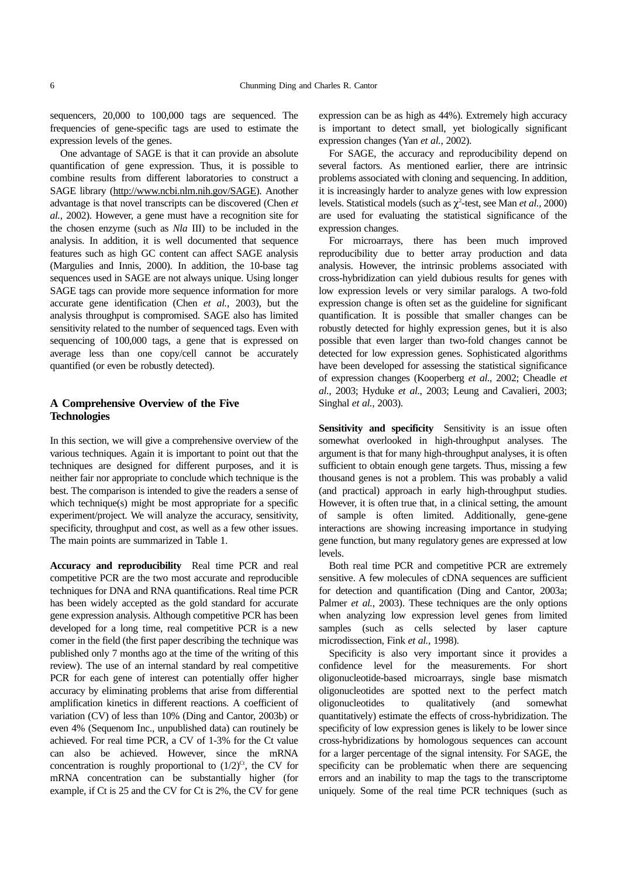sequencers, 20,000 to 100,000 tags are sequenced. The frequencies of gene-specific tags are used to estimate the expression levels of the genes.

One advantage of SAGE is that it can provide an absolute quantification of gene expression. Thus, it is possible to combine results from different laboratories to construct a SAGE library (http://www.ncbi.nlm.nih.gov/SAGE). Another advantage is that novel transcripts can be discovered (Chen *et al.*, 2002). However, a gene must have a recognition site for the chosen enzyme (such as *Nla* III) to be included in the analysis. In addition, it is well documented that sequence features such as high GC content can affect SAGE analysis (Margulies and Innis, 2000). In addition, the 10-base tag sequences used in SAGE are not always unique. Using longer SAGE tags can provide more sequence information for more accurate gene identification (Chen *et al.*, 2003), but the analysis throughput is compromised. SAGE also has limited sensitivity related to the number of sequenced tags. Even with sequencing of 100,000 tags, a gene that is expressed on average less than one copy/cell cannot be accurately quantified (or even be robustly detected).

## **A Comprehensive Overview of the Five Technologies**

In this section, we will give a comprehensive overview of the various techniques. Again it is important to point out that the techniques are designed for different purposes, and it is neither fair nor appropriate to conclude which technique is the best. The comparison is intended to give the readers a sense of which technique(s) might be most appropriate for a specific experiment/project. We will analyze the accuracy, sensitivity, specificity, throughput and cost, as well as a few other issues. The main points are summarized in Table 1.

**Accuracy and reproducibility** Real time PCR and real competitive PCR are the two most accurate and reproducible techniques for DNA and RNA quantifications. Real time PCR has been widely accepted as the gold standard for accurate gene expression analysis. Although competitive PCR has been developed for a long time, real competitive PCR is a new comer in the field (the first paper describing the technique was published only 7 months ago at the time of the writing of this review). The use of an internal standard by real competitive PCR for each gene of interest can potentially offer higher accuracy by eliminating problems that arise from differential amplification kinetics in different reactions. A coefficient of variation (CV) of less than 10% (Ding and Cantor, 2003b) or even 4% (Sequenom Inc., unpublished data) can routinely be achieved. For real time PCR, a CV of 1-3% for the Ct value can also be achieved. However, since the mRNA concentration is roughly proportional to  $(1/2)^{C_t}$ , the CV for mRNA concentration can be substantially higher (for example, if Ct is 25 and the CV for Ct is 2%, the CV for gene expression can be as high as 44%). Extremely high accuracy is important to detect small, yet biologically significant expression changes (Yan *et al.*, 2002).

For SAGE, the accuracy and reproducibility depend on several factors. As mentioned earlier, there are intrinsic problems associated with cloning and sequencing. In addition, it is increasingly harder to analyze genes with low expression levels. Statistical models (such as  $\chi^2$ -test, see Man *et al.*, 2000) are used for evaluating the statistical significance of the expression changes.

For microarrays, there has been much improved reproducibility due to better array production and data analysis. However, the intrinsic problems associated with cross-hybridization can yield dubious results for genes with low expression levels or very similar paralogs. A two-fold expression change is often set as the guideline for significant quantification. It is possible that smaller changes can be robustly detected for highly expression genes, but it is also possible that even larger than two-fold changes cannot be detected for low expression genes. Sophisticated algorithms have been developed for assessing the statistical significance of expression changes (Kooperberg *et al.*, 2002; Cheadle *et al.*, 2003; Hyduke *et al.*, 2003; Leung and Cavalieri, 2003; Singhal *et al.*, 2003).

**Sensitivity and specificity** Sensitivity is an issue often somewhat overlooked in high-throughput analyses. The argument is that for many high-throughput analyses, it is often sufficient to obtain enough gene targets. Thus, missing a few thousand genes is not a problem. This was probably a valid (and practical) approach in early high-throughput studies. However, it is often true that, in a clinical setting, the amount of sample is often limited. Additionally, gene-gene interactions are showing increasing importance in studying gene function, but many regulatory genes are expressed at low levels.

Both real time PCR and competitive PCR are extremely sensitive. A few molecules of cDNA sequences are sufficient for detection and quantification (Ding and Cantor, 2003a; Palmer *et al.*, 2003). These techniques are the only options when analyzing low expression level genes from limited samples (such as cells selected by laser capture microdissection, Fink *et al.*, 1998).

Specificity is also very important since it provides a confidence level for the measurements. For short oligonucleotide-based microarrays, single base mismatch oligonucleotides are spotted next to the perfect match oligonucleotides to qualitatively (and somewhat quantitatively) estimate the effects of cross-hybridization. The specificity of low expression genes is likely to be lower since cross-hybridizations by homologous sequences can account for a larger percentage of the signal intensity. For SAGE, the specificity can be problematic when there are sequencing errors and an inability to map the tags to the transcriptome uniquely. Some of the real time PCR techniques (such as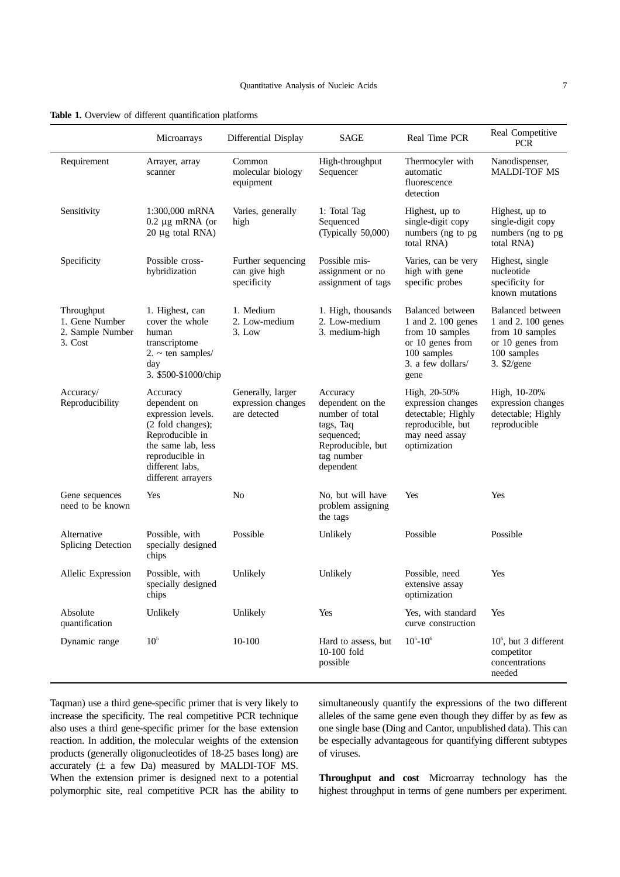**Table 1.** Overview of different quantification platforms

|                                                             | Microarrays                                                                                                                                                              | Differential Display                                    | <b>SAGE</b>                                                                                                                | Real Time PCR                                                                                                                    | Real Competitive<br><b>PCR</b>                                                                                       |
|-------------------------------------------------------------|--------------------------------------------------------------------------------------------------------------------------------------------------------------------------|---------------------------------------------------------|----------------------------------------------------------------------------------------------------------------------------|----------------------------------------------------------------------------------------------------------------------------------|----------------------------------------------------------------------------------------------------------------------|
| Requirement                                                 | Arrayer, array<br>scanner                                                                                                                                                | Common<br>molecular biology<br>equipment                | High-throughput<br>Sequencer                                                                                               | Thermocyler with<br>automatic<br>fluorescence<br>detection                                                                       | Nanodispenser,<br><b>MALDI-TOF MS</b>                                                                                |
| Sensitivity                                                 | 1:300,000 mRNA<br>$0.2 \mu$ g mRNA (or<br>$20 \mu g$ total RNA)                                                                                                          | Varies, generally<br>high                               | 1: Total Tag<br>Sequenced<br>(Typically 50,000)                                                                            | Highest, up to<br>single-digit copy<br>numbers (ng to pg<br>total RNA)                                                           | Highest, up to<br>single-digit copy<br>numbers (ng to pg<br>total RNA)                                               |
| Specificity                                                 | Possible cross-<br>hybridization                                                                                                                                         | Further sequencing<br>can give high<br>specificity      | Possible mis-<br>assignment or no<br>assignment of tags                                                                    | Varies, can be very<br>high with gene<br>specific probes                                                                         | Highest, single<br>nucleotide<br>specificity for<br>known mutations                                                  |
| Throughput<br>1. Gene Number<br>2. Sample Number<br>3. Cost | 1. Highest, can<br>cover the whole<br>human<br>transcriptome<br>$2. \sim \text{ten samples}$<br>day<br>3. \$500-\$1000/chip                                              | 1. Medium<br>2. Low-medium<br>3. Low                    | 1. High, thousands<br>2. Low-medium<br>3. medium-high                                                                      | <b>Balanced</b> between<br>1 and 2. 100 genes<br>from 10 samples<br>or 10 genes from<br>100 samples<br>3. a few dollars/<br>gene | <b>Balanced</b> between<br>1 and 2. 100 genes<br>from 10 samples<br>or 10 genes from<br>100 samples<br>3. $$2$ /gene |
| Accuracy/<br>Reproducibility                                | Accuracy<br>dependent on<br>expression levels.<br>(2 fold changes);<br>Reproducible in<br>the same lab, less<br>reproducible in<br>different labs,<br>different arrayers | Generally, larger<br>expression changes<br>are detected | Accuracy<br>dependent on the<br>number of total<br>tags, Taq<br>sequenced;<br>Reproducible, but<br>tag number<br>dependent | High, 20-50%<br>expression changes<br>detectable; Highly<br>reproducible, but<br>may need assay<br>optimization                  | High, 10-20%<br>expression changes<br>detectable; Highly<br>reproducible                                             |
| Gene sequences<br>need to be known                          | Yes                                                                                                                                                                      | N <sub>o</sub>                                          | No, but will have<br>problem assigning<br>the tags                                                                         | Yes                                                                                                                              | Yes                                                                                                                  |
| Alternative<br>Splicing Detection                           | Possible, with<br>specially designed<br>chips                                                                                                                            | Possible                                                | Unlikely                                                                                                                   | Possible                                                                                                                         | Possible                                                                                                             |
| Allelic Expression                                          | Possible, with<br>specially designed<br>chips                                                                                                                            | Unlikely                                                | Unlikely                                                                                                                   | Possible, need<br>extensive assay<br>optimization                                                                                | Yes                                                                                                                  |
| Absolute<br>quantification                                  | Unlikely                                                                                                                                                                 | Unlikely                                                | Yes                                                                                                                        | Yes, with standard<br>curve construction                                                                                         | Yes                                                                                                                  |
| Dynamic range                                               | 10 <sup>5</sup>                                                                                                                                                          | 10-100                                                  | Hard to assess, but<br>10-100 fold<br>possible                                                                             | $10^5 - 10^6$                                                                                                                    | $10^6$ , but 3 different<br>competitor<br>concentrations<br>needed                                                   |

Taqman) use a third gene-specific primer that is very likely to increase the specificity. The real competitive PCR technique also uses a third gene-specific primer for the base extension reaction. In addition, the molecular weights of the extension products (generally oligonucleotides of 18-25 bases long) are accurately  $(\pm$  a few Da) measured by MALDI-TOF MS. When the extension primer is designed next to a potential polymorphic site, real competitive PCR has the ability to simultaneously quantify the expressions of the two different alleles of the same gene even though they differ by as few as one single base (Ding and Cantor, unpublished data). This can be especially advantageous for quantifying different subtypes of viruses.

**Throughput and cost** Microarray technology has the highest throughput in terms of gene numbers per experiment.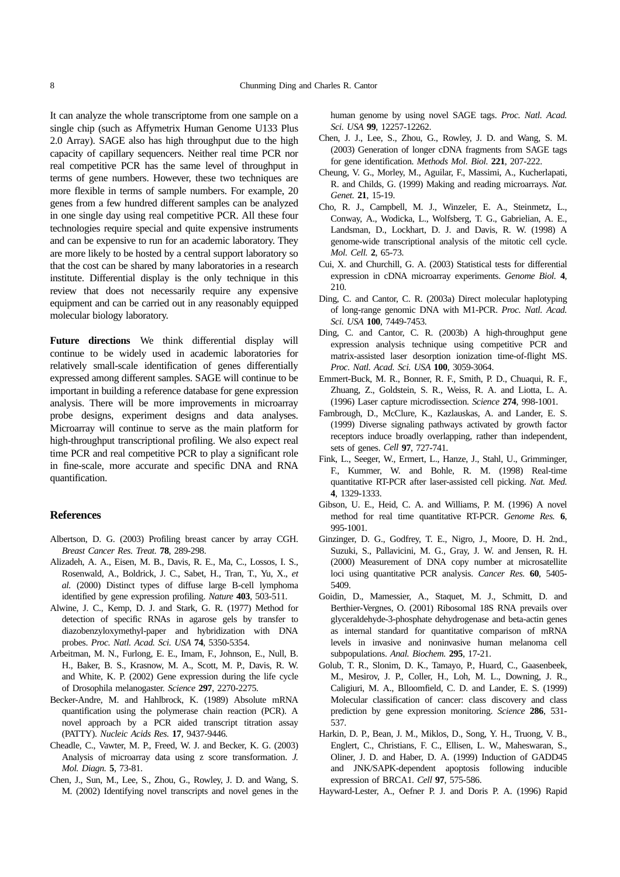It can analyze the whole transcriptome from one sample on a single chip (such as Affymetrix Human Genome U133 Plus 2.0 Array). SAGE also has high throughput due to the high capacity of capillary sequencers. Neither real time PCR nor real competitive PCR has the same level of throughput in terms of gene numbers. However, these two techniques are more flexible in terms of sample numbers. For example, 20 genes from a few hundred different samples can be analyzed in one single day using real competitive PCR. All these four technologies require special and quite expensive instruments and can be expensive to run for an academic laboratory. They are more likely to be hosted by a central support laboratory so that the cost can be shared by many laboratories in a research institute. Differential display is the only technique in this review that does not necessarily require any expensive equipment and can be carried out in any reasonably equipped molecular biology laboratory.

**Future directions** We think differential display will continue to be widely used in academic laboratories for relatively small-scale identification of genes differentially expressed among different samples. SAGE will continue to be important in building a reference database for gene expression analysis. There will be more improvements in microarray probe designs, experiment designs and data analyses. Microarray will continue to serve as the main platform for high-throughput transcriptional profiling. We also expect real time PCR and real competitive PCR to play a significant role in fine-scale, more accurate and specific DNA and RNA quantification.

#### **References**

- Albertson, D. G. (2003) Profiling breast cancer by array CGH. *Breast Cancer Res. Treat.* **78**, 289-298.
- Alizadeh, A. A., Eisen, M. B., Davis, R. E., Ma, C., Lossos, I. S., Rosenwald, A., Boldrick, J. C., Sabet, H., Tran, T., Yu, X., *et al.* (2000) Distinct types of diffuse large B-cell lymphoma identified by gene expression profiling. *Nature* **403**, 503-511.
- Alwine, J. C., Kemp, D. J. and Stark, G. R. (1977) Method for detection of specific RNAs in agarose gels by transfer to diazobenzyloxymethyl-paper and hybridization with DNA probes. *Proc. Natl. Acad. Sci. USA* **74**, 5350-5354.
- Arbeitman, M. N., Furlong, E. E., Imam, F., Johnson, E., Null, B. H., Baker, B. S., Krasnow, M. A., Scott, M. P., Davis, R. W. and White, K. P. (2002) Gene expression during the life cycle of Drosophila melanogaster. *Science* **297**, 2270-2275.
- Becker-Andre, M. and Hahlbrock, K. (1989) Absolute mRNA quantification using the polymerase chain reaction (PCR). A novel approach by a PCR aided transcript titration assay (PATTY). *Nucleic Acids Res.* **17**, 9437-9446.
- Cheadle, C., Vawter, M. P., Freed, W. J. and Becker, K. G. (2003) Analysis of microarray data using z score transformation. *J. Mol. Diagn.* **5**, 73-81.
- Chen, J., Sun, M., Lee, S., Zhou, G., Rowley, J. D. and Wang, S. M. (2002) Identifying novel transcripts and novel genes in the

human genome by using novel SAGE tags. *Proc. Natl. Acad. Sci. USA* **99**, 12257-12262.

- Chen, J. J., Lee, S., Zhou, G., Rowley, J. D. and Wang, S. M. (2003) Generation of longer cDNA fragments from SAGE tags for gene identification. *Methods Mol. Biol.* **221**, 207-222.
- Cheung, V. G., Morley, M., Aguilar, F., Massimi, A., Kucherlapati, R. and Childs, G. (1999) Making and reading microarrays. *Nat. Genet.* **21**, 15-19.
- Cho, R. J., Campbell, M. J., Winzeler, E. A., Steinmetz, L., Conway, A., Wodicka, L., Wolfsberg, T. G., Gabrielian, A. E., Landsman, D., Lockhart, D. J. and Davis, R. W. (1998) A genome-wide transcriptional analysis of the mitotic cell cycle. *Mol. Cell.* **2**, 65-73.
- Cui, X. and Churchill, G. A. (2003) Statistical tests for differential expression in cDNA microarray experiments. *Genome Biol.* **4**, 210.
- Ding, C. and Cantor, C. R. (2003a) Direct molecular haplotyping of long-range genomic DNA with M1-PCR. *Proc. Natl. Acad. Sci. USA* **100**, 7449-7453.
- Ding, C. and Cantor, C. R. (2003b) A high-throughput gene expression analysis technique using competitive PCR and matrix-assisted laser desorption ionization time-of-flight MS. *Proc. Natl. Acad. Sci. USA* **100**, 3059-3064.
- Emmert-Buck, M. R., Bonner, R. F., Smith, P. D., Chuaqui, R. F., Zhuang, Z., Goldstein, S. R., Weiss, R. A. and Liotta, L. A. (1996) Laser capture microdissection. *Science* **274**, 998-1001.
- Fambrough, D., McClure*,* K., Kazlauskas, A. and Lander, E. S. (1999) Diverse signaling pathways activated by growth factor receptors induce broadly overlapping, rather than independent, sets of genes. *Cell* **97**, 727-741.
- Fink, L., Seeger, W., Ermert, L., Hanze, J., Stahl, U., Grimminger, F., Kummer, W. and Bohle, R. M. (1998) Real-time quantitative RT-PCR after laser-assisted cell picking. *Nat. Med.* **4**, 1329-1333.
- Gibson, U. E., Heid, C. A. and Williams, P. M. (1996) A novel method for real time quantitative RT-PCR. *Genome Res.* **6**, 995-1001.
- Ginzinger, D. G., Godfrey, T. E., Nigro, J., Moore, D. H. 2nd., Suzuki, S., Pallavicini, M. G., Gray, J. W. and Jensen, R. H. (2000) Measurement of DNA copy number at microsatellite loci using quantitative PCR analysis. *Cancer Res.* **60**, 5405- 5409.
- Goidin, D., Mamessier, A., Staquet, M. J., Schmitt, D. and Berthier-Vergnes, O. (2001) Ribosomal 18S RNA prevails over glyceraldehyde-3-phosphate dehydrogenase and beta-actin genes as internal standard for quantitative comparison of mRNA levels in invasive and noninvasive human melanoma cell subpopulations. *Anal. Biochem.* **295**, 17-21.
- Golub, T. R., Slonim, D. K., Tamayo, P., Huard, C., Gaasenbeek, M., Mesirov, J. P., Coller, H., Loh, M. L., Downing, J. R., Caligiuri, M. A., Blloomfield, C. D. and Lander, E. S. (1999) Molecular classification of cancer: class discovery and class prediction by gene expression monitoring. *Science* **286**, 531- 537.
- Harkin, D. P., Bean, J. M., Miklos, D., Song, Y. H., Truong, V. B., Englert, C., Christians, F. C., Ellisen, L. W., Maheswaran, S., Oliner, J. D. and Haber, D. A. (1999) Induction of GADD45 and JNK/SAPK-dependent apoptosis following inducible expression of BRCA1. *Cell* **97**, 575-586.
- Hayward-Lester, A., Oefner P. J. and Doris P. A. (1996) Rapid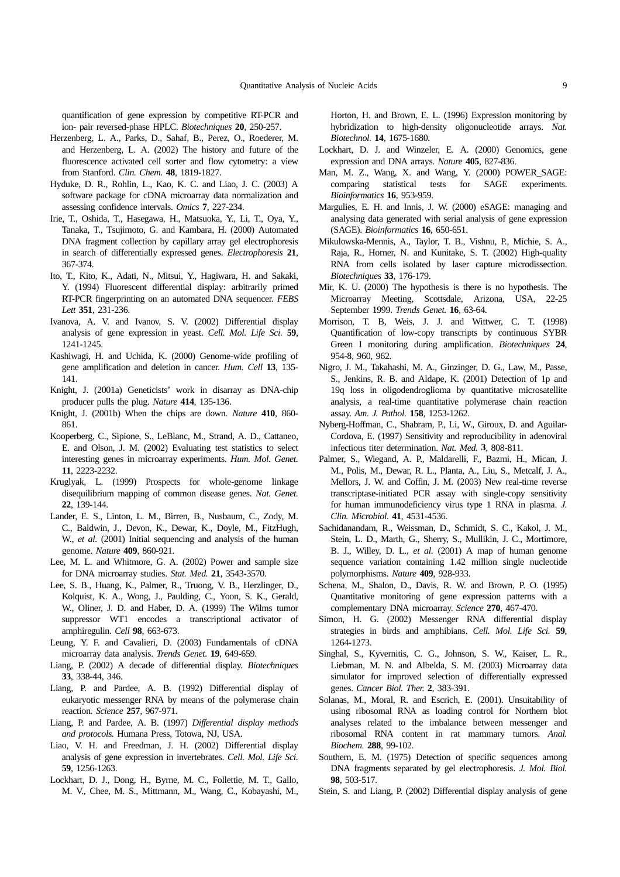quantification of gene expression by competitive RT-PCR and ion- pair reversed-phase HPLC. *Biotechniques* **20**, 250-257.

- Herzenberg, L. A., Parks, D., Sahaf, B., Perez, O., Roederer, M. and Herzenberg, L. A. (2002) The history and future of the fluorescence activated cell sorter and flow cytometry: a view from Stanford. *Clin. Chem.* **48**, 1819-1827.
- Hyduke, D. R., Rohlin, L., Kao, K. C. and Liao, J. C. (2003) A software package for cDNA microarray data normalization and assessing confidence intervals. *Omics* **7**, 227-234.
- Irie, T., Oshida, T., Hasegawa, H., Matsuoka, Y., Li, T., Oya, Y., Tanaka, T., Tsujimoto, G. and Kambara, H. (2000) Automated DNA fragment collection by capillary array gel electrophoresis in search of differentially expressed genes. *Electrophoresis* **21**, 367-374.
- Ito, T., Kito, K., Adati, N., Mitsui, Y., Hagiwara, H. and Sakaki, Y. (1994) Fluorescent differential display: arbitrarily primed RT-PCR fingerprinting on an automated DNA sequencer. *FEBS Lett* **351**, 231-236.
- Ivanova, A. V. and Ivanov, S. V. (2002) Differential display analysis of gene expression in yeast. *Cell. Mol. Life Sci.* **59**, 1241-1245.
- Kashiwagi, H. and Uchida, K. (2000) Genome-wide profiling of gene amplification and deletion in cancer. *Hum. Cell* **13**, 135- 141.
- Knight, J. (2001a) Geneticists' work in disarray as DNA-chip producer pulls the plug. *Nature* **414**, 135-136.
- Knight, J. (2001b) When the chips are down. *Nature* **410**, 860- 861.
- Kooperberg, C., Sipione, S., LeBlanc, M., Strand, A. D., Cattaneo, E. and Olson, J. M. (2002) Evaluating test statistics to select interesting genes in microarray experiments. *Hum. Mol. Genet.* **11**, 2223-2232.
- Kruglyak, L. (1999) Prospects for whole-genome linkage disequilibrium mapping of common disease genes. *Nat. Genet.* **22**, 139-144.
- Lander, E. S., Linton, L. M., Birren, B., Nusbaum, C., Zody, M. C., Baldwin, J., Devon, K., Dewar, K., Doyle, M., FitzHugh, W., *et al.* (2001) Initial sequencing and analysis of the human genome. *Nature* **409**, 860-921.
- Lee, M. L. and Whitmore, G. A. (2002) Power and sample size for DNA microarray studies. *Stat. Med.* **21**, 3543-3570.
- Lee, S. B., Huang, K., Palmer, R., Truong, V. B., Herzlinger, D., Kolquist, K. A., Wong, J., Paulding, C., Yoon, S. K., Gerald, W., Oliner, J. D. and Haber, D. A. (1999) The Wilms tumor suppressor WT1 encodes a transcriptional activator of amphiregulin. *Cell* **98**, 663-673.
- Leung, Y. F. and Cavalieri, D. (2003) Fundamentals of cDNA microarray data analysis. *Trends Genet.* **19**, 649-659.
- Liang, P. (2002) A decade of differential display. *Biotechniques* **33**, 338-44, 346.
- Liang, P. and Pardee, A. B. (1992) Differential display of eukaryotic messenger RNA by means of the polymerase chain reaction. *Science* **257**, 967-971.
- Liang, P. and Pardee, A. B. (1997) *Differential display methods and protocols.* Humana Press, Totowa, NJ, USA.
- Liao, V. H. and Freedman, J. H. (2002) Differential display analysis of gene expression in invertebrates. *Cell. Mol. Life Sci.* **59**, 1256-1263.
- Lockhart, D. J., Dong, H., Byrne, M. C., Follettie, M. T., Gallo, M. V., Chee, M. S., Mittmann, M., Wang, C., Kobayashi, M.,

Horton, H. and Brown, E. L. (1996) Expression monitoring by hybridization to high-density oligonucleotide arrays. *Nat. Biotechnol.* **14**, 1675-1680.

- Lockhart, D. J. and Winzeler, E. A. (2000) Genomics, gene expression and DNA arrays. *Nature* **405**, 827-836.
- Man, M. Z., Wang, X. and Wang, Y. (2000) POWER\_SAGE: comparing statistical tests for SAGE experiments. *Bioinformatics* **16**, 953-959.
- Margulies, E. H. and Innis, J. W. (2000) eSAGE: managing and analysing data generated with serial analysis of gene expression (SAGE). *Bioinformatics* **16**, 650-651.
- Mikulowska-Mennis, A., Taylor, T. B., Vishnu, P., Michie, S. A., Raja, R., Horner, N. and Kunitake, S. T. (2002) High-quality RNA from cells isolated by laser capture microdissection. *Biotechniques* **33**, 176-179.
- Mir, K. U. (2000) The hypothesis is there is no hypothesis. The Microarray Meeting, Scottsdale, Arizona, USA, 22-25 September 1999. *Trends Genet.* **16**, 63-64.
- Morrison, T. B, Weis, J. J. and Wittwer, C. T. (1998) Quantification of low-copy transcripts by continuous SYBR Green I monitoring during amplification. *Biotechniques* **24**, 954-8, 960, 962.
- Nigro, J. M., Takahashi, M. A., Ginzinger, D. G., Law, M., Passe, S., Jenkins, R. B. and Aldape, K. (2001) Detection of 1p and 19q loss in oligodendroglioma by quantitative microsatellite analysis, a real-time quantitative polymerase chain reaction assay. *Am. J. Pathol.* **158**, 1253-1262.
- Nyberg-Hoffman, C., Shabram, P., Li, W., Giroux, D. and Aguilar-Cordova, E. (1997) Sensitivity and reproducibility in adenoviral infectious titer determination. *Nat. Med.* **3**, 808-811.
- Palmer, S., Wiegand, A. P., Maldarelli, F., Bazmi, H., Mican, J. M., Polis, M., Dewar, R. L., Planta, A., Liu, S., Metcalf, J. A., Mellors, J. W. and Coffin, J. M. (2003) New real-time reverse transcriptase-initiated PCR assay with single-copy sensitivity for human immunodeficiency virus type 1 RNA in plasma. *J. Clin. Microbiol.* **41**, 4531-4536.
- Sachidanandam, R., Weissman, D., Schmidt, S. C., Kakol, J. M., Stein, L. D., Marth, G., Sherry, S., Mullikin, J. C., Mortimore, B. J., Willey, D. L., *et al.* (2001) A map of human genome sequence variation containing 1.42 million single nucleotide polymorphisms. *Nature* **409**, 928-933.
- Schena, M., Shalon, D., Davis, R. W. and Brown, P. O. (1995) Quantitative monitoring of gene expression patterns with a complementary DNA microarray. *Science* **270**, 467-470.
- Simon, H. G. (2002) Messenger RNA differential display strategies in birds and amphibians. *Cell. Mol. Life Sci.* **59**, 1264-1273.
- Singhal, S., Kyvernitis, C. G., Johnson, S. W., Kaiser, L. R., Liebman, M. N. and Albelda, S. M. (2003) Microarray data simulator for improved selection of differentially expressed genes. *Cancer Biol. Ther.* **2**, 383-391.
- Solanas, M., Moral, R. and Escrich, E. (2001). Unsuitability of using ribosomal RNA as loading control for Northern blot analyses related to the imbalance between messenger and ribosomal RNA content in rat mammary tumors. *Anal. Biochem.* **288**, 99-102.
- Southern, E. M. (1975) Detection of specific sequences among DNA fragments separated by gel electrophoresis. *J. Mol. Biol.* **98**, 503-517.
- Stein, S. and Liang, P. (2002) Differential display analysis of gene